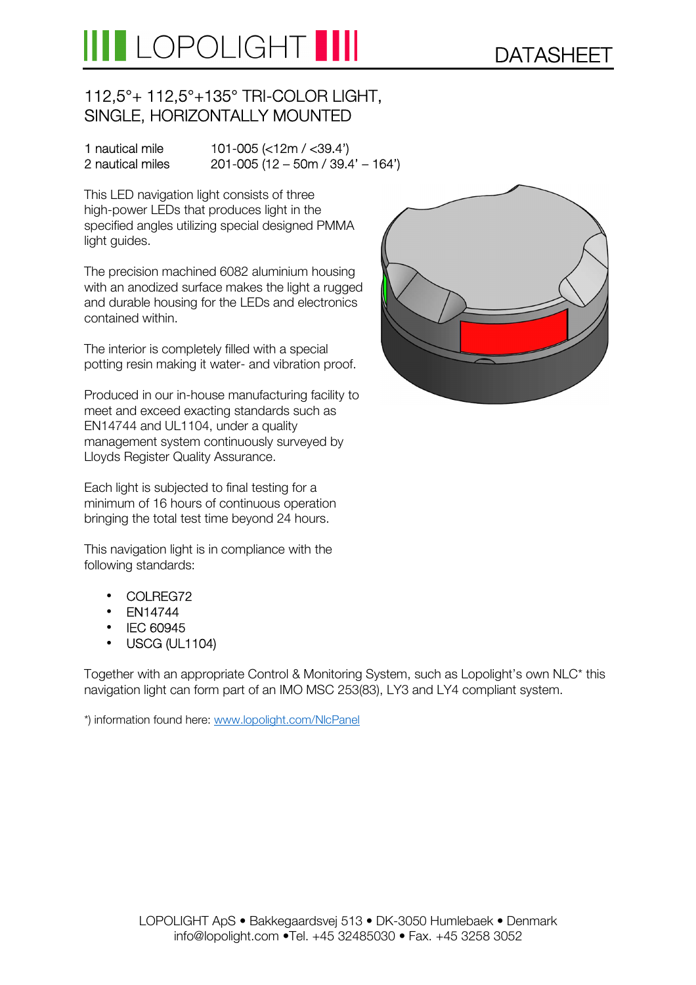

### 112,5°+ 112,5°+135° TRI-COLOR LIGHT, SINGLE, HORIZONTALLY MOUNTED

### 1 nautical mile 101-005 (<12m / <39.4') 2 nautical miles 201-005 (12 – 50m / 39.4' – 164')

This LED navigation light consists of three high-power LEDs that produces light in the specified angles utilizing special designed PMMA light guides.

The precision machined 6082 aluminium housing with an anodized surface makes the light a rugged and durable housing for the LEDs and electronics contained within.

The interior is completely filled with a special potting resin making it water- and vibration proof.

Produced in our in-house manufacturing facility to meet and exceed exacting standards such as EN14744 and UL1104, under a quality management system continuously surveyed by Lloyds Register Quality Assurance.

Each light is subjected to final testing for a minimum of 16 hours of continuous operation bringing the total test time beyond 24 hours.

This navigation light is in compliance with the following standards:

- COLREG72
- EN14744
- IEC 60945
- USCG (UL1104)

Together with an appropriate Control & Monitoring System, such as Lopolight's own NLC\* this navigation light can form part of an IMO MSC 253(83), LY3 and LY4 compliant system.

\*) information found here: www.lopolight.com/NlcPanel

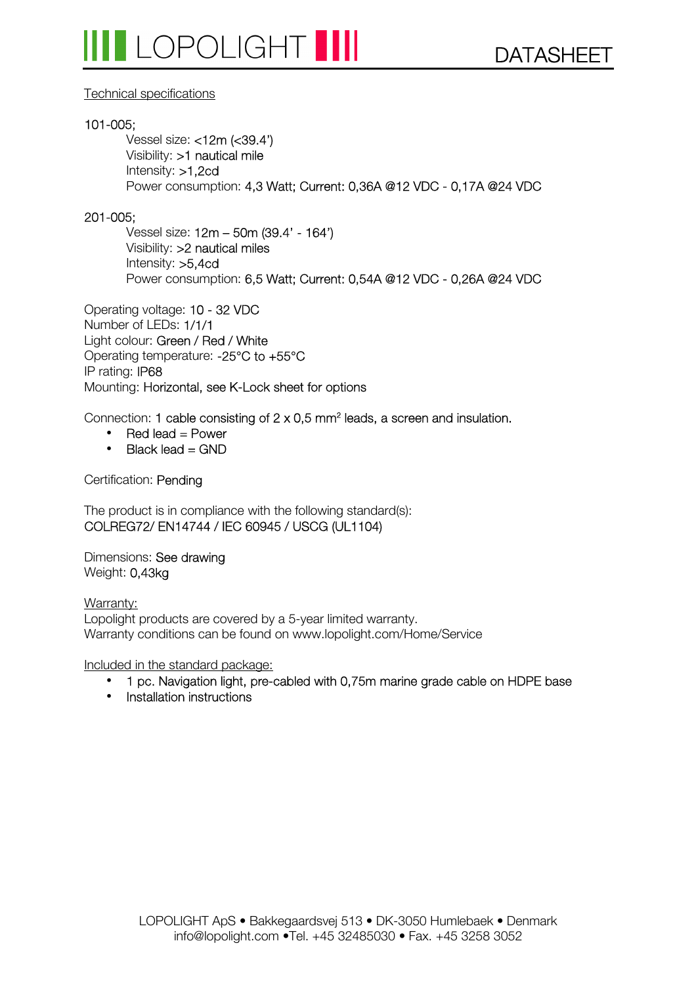

#### Technical specifications

#### 101-005;

Vessel size: <12m (<39.4') Visibility: >1 nautical mile Intensity: >1,2cd Power consumption: 4,3 Watt; Current: 0,36A @12 VDC - 0,17A @24 VDC

#### 201-005;

Vessel size: 12m – 50m (39.4' - 164') Visibility: >2 nautical miles Intensity: >5,4cd Power consumption: 6,5 Watt; Current: 0,54A @12 VDC - 0,26A @24 VDC

Operating voltage: 10 - 32 VDC Number of LEDs: 1/1/1 Light colour: Green / Red / White Operating temperature: -25°C to +55°C IP rating: IP68 Mounting: Horizontal, see K-Lock sheet for options

Connection: 1 cable consisting of  $2 \times 0.5$  mm<sup>2</sup> leads, a screen and insulation.

- $\bullet$  Red lead = Power
- Black lead = GND

Certification: Pending

The product is in compliance with the following standard(s): COLREG72/ EN14744 / IEC 60945 / USCG (UL1104)

Dimensions: See drawing Weight: 0,43kg

Warranty: Lopolight products are covered by a 5-year limited warranty. Warranty conditions can be found on www.lopolight.com/Home/Service

Included in the standard package:

- 1 pc. Navigation light, pre-cabled with 0,75m marine grade cable on HDPE base
- Installation instructions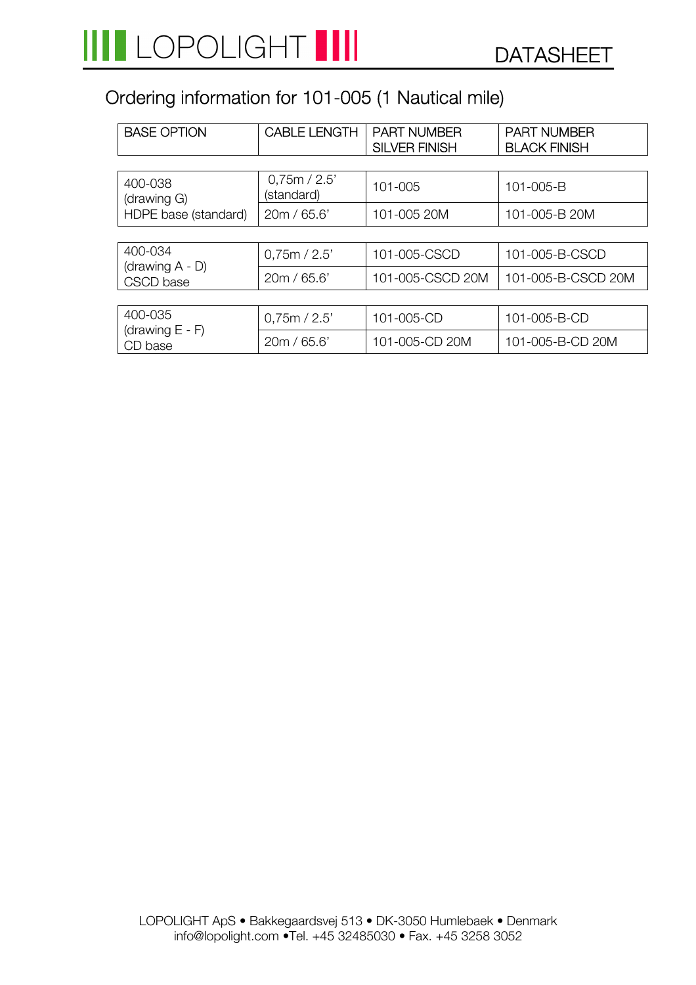# Ordering information for 101-005 (1 Nautical mile)

| <b>BASE OPTION</b>                             | <b>CABLE LENGTH</b>      | <b>PART NUMBER</b><br><b>SILVER FINISH</b> | <b>PART NUMBER</b><br><b>BLACK FINISH</b> |
|------------------------------------------------|--------------------------|--------------------------------------------|-------------------------------------------|
|                                                |                          |                                            |                                           |
| 400-038<br>(drawing G)<br>HDPE base (standard) | 0,75m/2.5'<br>(standard) | 101-005                                    | 101-005-B                                 |
|                                                | 20m / 65.6'              | 101-005 20M                                | 101-005-B 20M                             |
|                                                |                          |                                            |                                           |
| 400-034<br>(drawing A - D)<br>CSCD base        | 0.75m / 2.5'             | 101-005-CSCD                               | 101-005-B-CSCD                            |
|                                                | 20m / 65.6'              | 101-005-CSCD 20M                           | 101-005-B-CSCD 20M                        |
|                                                |                          |                                            |                                           |
| 400-035<br>(drawing $E - F$ )<br>CD base       | 0,75m/2.5'               | 101-005-CD                                 | 101-005-B-CD                              |
|                                                | 20m / 65.6'              | 101-005-CD 20M                             | 101-005-B-CD 20M                          |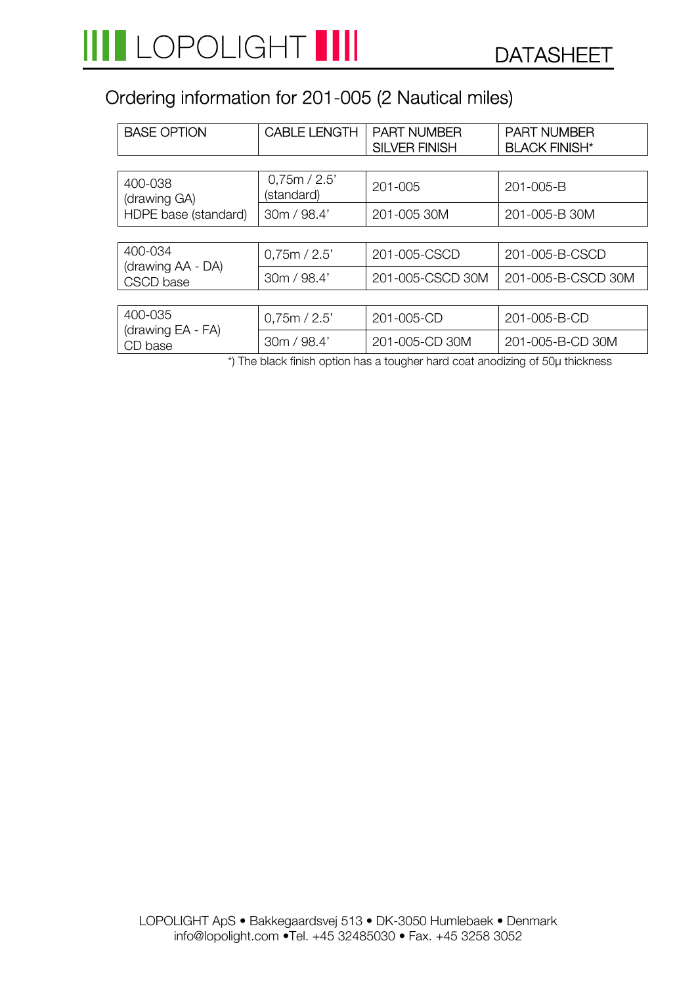# Ordering information for 201-005 (2 Nautical miles)

| <b>BASE OPTION</b>                              | <b>CABLE LENGTH</b>      | <b>PART NUMBER</b><br><b>SILVER FINISH</b> | <b>PART NUMBER</b><br><b>BLACK FINISH*</b> |  |  |
|-------------------------------------------------|--------------------------|--------------------------------------------|--------------------------------------------|--|--|
|                                                 |                          |                                            |                                            |  |  |
| 400-038<br>(drawing GA)<br>HDPE base (standard) | 0,75m/2.5'<br>(standard) | 201-005                                    | 201-005-B                                  |  |  |
|                                                 | 30m / 98.4'              | 201-005 30M                                | 201-005-B 30M                              |  |  |
|                                                 |                          |                                            |                                            |  |  |
| 400-034<br>(drawing AA - DA)<br>CSCD base       | 0,75m/2.5'               | 201-005-CSCD                               | 201-005-B-CSCD                             |  |  |
|                                                 | 30m / 98.4'              | 201-005-CSCD 30M                           | 201-005-B-CSCD 30M                         |  |  |
|                                                 |                          |                                            |                                            |  |  |
| 400-035<br>(drawing EA - FA)<br>CD base         | 0,75m/2.5'               | 201-005-CD                                 | 201-005-B-CD                               |  |  |
|                                                 | 30m / 98.4'              | 201-005-CD 30M                             | 201-005-B-CD 30M                           |  |  |

\*) The black finish option has a tougher hard coat anodizing of 50µ thickness